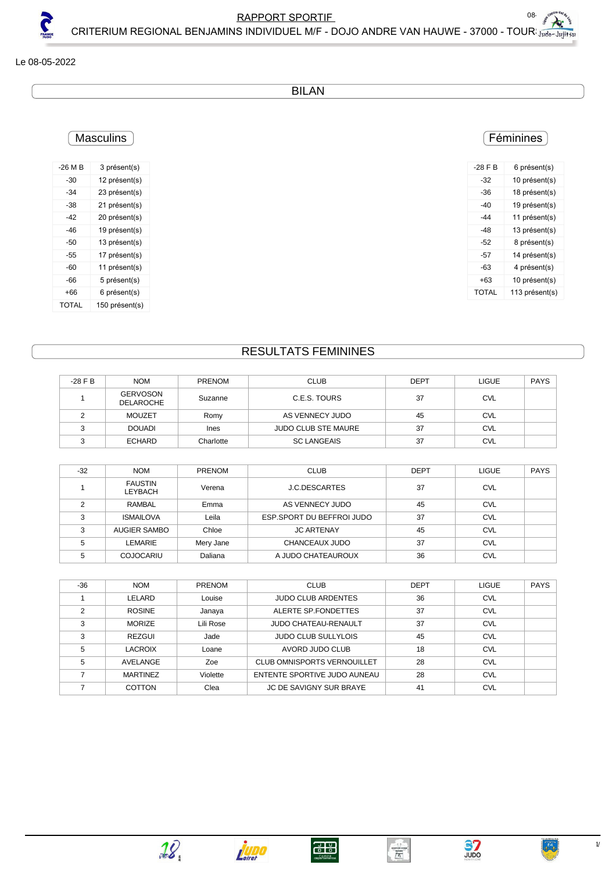### Le 08-05-2022

BILAN

# **Masculins**

| -26 M B | 3 présent(s)   |
|---------|----------------|
| -30     | 12 présent(s)  |
| -34     | 23 présent(s)  |
| -38     | 21 présent(s)  |
| -42     | 20 présent(s)  |
| -46     | 19 présent(s)  |
| -50     | 13 présent(s)  |
| -55     | 17 présent(s)  |
| -60     | 11 présent(s)  |
| -66     | 5 présent(s)   |
| +66     | 6 présent(s)   |
| TOTAL   | 150 présent(s) |

### Féminines

| $-28$ F B | 6 présent(s)   |
|-----------|----------------|
| $-32$     | 10 présent(s)  |
| -36       | 18 présent(s)  |
| -40       | 19 présent(s)  |
| -44       | 11 présent(s)  |
| $-48$     | 13 présent(s)  |
| -52       | 8 présent(s)   |
| -57       | 14 présent(s)  |
| -63       | 4 présent(s)   |
| +63       | 10 présent(s)  |
| TOTAL     | 113 présent(s) |

## RESULTATS FEMININES

| $-28$ F B | <b>NOM</b>                          | <b>PRENOM</b> | <b>CLUB</b>                | <b>DEPT</b> | <b>LIGUE</b> | <b>PAYS</b> |
|-----------|-------------------------------------|---------------|----------------------------|-------------|--------------|-------------|
|           | <b>GERVOSON</b><br><b>DELAROCHE</b> | Suzanne       | C.E.S. TOURS               | 37          | <b>CVL</b>   |             |
|           | <b>MOUZET</b>                       | Romy          | AS VENNECY JUDO            | 45          | <b>CVL</b>   |             |
|           | <b>DOUADI</b>                       | Ines          | <b>JUDO CLUB STE MAURE</b> | 37          | <b>CVL</b>   |             |
|           | <b>ECHARD</b>                       | Charlotte     | <b>SC LANGEAIS</b>         | 37          | <b>CVL</b>   |             |

| $-32$ | <b>NOM</b>                       | <b>PRENOM</b> | <b>CLUB</b>                | DEPT | <b>LIGUE</b> | <b>PAYS</b> |
|-------|----------------------------------|---------------|----------------------------|------|--------------|-------------|
|       | <b>FAUSTIN</b><br><b>LEYBACH</b> | Verena        | J.C.DESCARTES              | 37   | <b>CVL</b>   |             |
|       | RAMBAL                           | Emma          | AS VENNECY JUDO            | 45   | <b>CVL</b>   |             |
| ∘     | <b>ISMAILOVA</b>                 | Leila         | ESP. SPORT DU BEFFROI JUDO | 37   | <b>CVL</b>   |             |
| 3     | AUGIER SAMBO                     | Chloe         | <b>JC ARTENAY</b>          | 45   | <b>CVL</b>   |             |
| 5     | LEMARIE                          | Mery Jane     | CHANCEAUX JUDO             | 37   | <b>CVL</b>   |             |
|       | COJOCARIU                        | Daliana       | A JUDO CHATEAUROUX         | 36   | <b>CVL</b>   |             |

| $-36$ | <b>NOM</b>      | PRENOM    | <b>CLUB</b>                        | <b>DEPT</b> | <b>LIGUE</b> | <b>PAYS</b> |
|-------|-----------------|-----------|------------------------------------|-------------|--------------|-------------|
|       | LELARD          | Louise    | <b>JUDO CLUB ARDENTES</b>          | 36          | <b>CVL</b>   |             |
| 2     | <b>ROSINE</b>   | Janaya    | ALERTE SP.FONDETTES                | 37          | <b>CVL</b>   |             |
| 3     | <b>MORIZE</b>   | Lili Rose | <b>JUDO CHATEAU-RENAULT</b>        | 37          | <b>CVL</b>   |             |
| 3     | REZGUI          | Jade      | <b>JUDO CLUB SULLYLOIS</b>         | 45          | <b>CVL</b>   |             |
| 5     | LACROIX         | Loane     | AVORD JUDO CLUB                    | 18          | <b>CVL</b>   |             |
| 5     | AVELANGE        | Zoe       | <b>CLUB OMNISPORTS VERNOUILLET</b> | 28          | <b>CVL</b>   |             |
|       | <b>MARTINEZ</b> | Violette  | ENTENTE SPORTIVE JUDO AUNEAU       | 28          | <b>CVL</b>   |             |
|       | <b>COTTON</b>   | Clea      | <b>JC DE SAVIGNY SUR BRAYE</b>     | 41          | <b>CVL</b>   |             |

 $\begin{tabular}{|c|c|} \hline \quad \quad & \quad \quad & \quad \quad \\ \hline \quad \quad & \quad \quad & \quad \quad \\ \hline \quad \quad & \quad \quad & \quad \quad \\ \hline \quad \quad & \quad \quad & \quad \quad \\ \hline \quad \quad & \quad \quad & \quad \quad \\ \hline \quad \quad & \quad \quad & \quad \quad \\ \hline \quad \quad & \quad \quad & \quad \quad \\ \hline \quad \quad & \quad \quad & \quad \quad \\ \hline \quad \quad & \quad \quad & \quad \quad \\ \hline \quad \quad & \quad \quad & \quad \quad \\ \hline \quad \quad & \quad \quad & \quad \quad \\ \hline \quad \quad & \quad$ 





 $\overline{f_{\mu}}$ 

 $\frac{37}{1000}$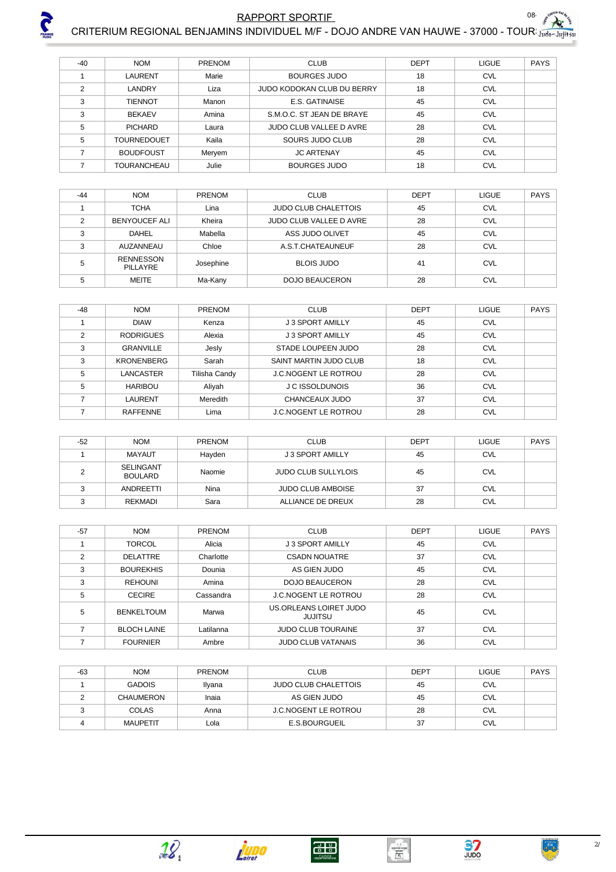

| $-40$ | <b>NOM</b>         | <b>PRENOM</b> | <b>CLUB</b>                    | <b>DEPT</b> | <b>LIGUE</b> | <b>PAYS</b> |
|-------|--------------------|---------------|--------------------------------|-------------|--------------|-------------|
|       | LAURENT            | Marie         | BOURGES JUDO                   | 18          | <b>CVL</b>   |             |
| 2     | LANDRY             | Liza          | JUDO KODOKAN CLUB DU BERRY     | 18          | <b>CVL</b>   |             |
| 3     | <b>TIENNOT</b>     | Manon         | E.S. GATINAISE                 | 45          | <b>CVL</b>   |             |
| 3     | <b>BEKAEV</b>      | Amina         | S.M.O.C. ST JEAN DE BRAYE      | 45          | <b>CVL</b>   |             |
| 5     | <b>PICHARD</b>     | Laura         | <b>JUDO CLUB VALLEE D AVRE</b> | 28          | <b>CVL</b>   |             |
| 5     | <b>TOURNEDOUET</b> | Kaila         | SOURS JUDO CLUB                | 28          | <b>CVL</b>   |             |
|       | <b>BOUDFOUST</b>   | Meryem        | <b>JC ARTENAY</b>              | 45          | <b>CVL</b>   |             |
|       | <b>TOURANCHEAU</b> | Julie         | <b>BOURGES JUDO</b>            | 18          | <b>CVL</b>   |             |

| $-44$ | <b>NOM</b>                   | <b>PRENOM</b> | <b>CLUB</b>                 | <b>DEPT</b> | <b>LIGUE</b> | <b>PAYS</b> |
|-------|------------------------------|---------------|-----------------------------|-------------|--------------|-------------|
|       | <b>TCHA</b>                  | Lina          | <b>JUDO CLUB CHALETTOIS</b> | 45          | <b>CVL</b>   |             |
| 2     | <b>BENYOUCEF ALI</b>         | Kheira        | JUDO CLUB VALLEE D AVRE     | 28          | <b>CVL</b>   |             |
| ົ     | DAHEL                        | Mabella       | ASS JUDO OLIVET             | 45          | <b>CVL</b>   |             |
| 3     | AUZANNEAU                    | Chloe         | A.S.T.CHATEAUNEUF           | 28          | <b>CVL</b>   |             |
| 5     | <b>RENNESSON</b><br>PILLAYRE | Josephine     | <b>BLOIS JUDO</b>           | 41          | <b>CVL</b>   |             |
| 5     | MEITE                        | Ma-Kany       | DOJO BEAUCERON              | 28          | <b>CVL</b>   |             |

| $-48$          | <b>NOM</b>        | <b>PRENOM</b> | <b>CLUB</b>                  | <b>DEPT</b> | <b>LIGUE</b> | <b>PAYS</b> |
|----------------|-------------------|---------------|------------------------------|-------------|--------------|-------------|
|                | <b>DIAW</b>       | Kenza         | J 3 SPORT AMILLY             | 45          | <b>CVL</b>   |             |
| $\mathfrak{p}$ | <b>RODRIGUES</b>  | Alexia        | <b>J3 SPORT AMILLY</b>       | 45          | <b>CVL</b>   |             |
| 3              | <b>GRANVILLE</b>  | Jesly         | STADE LOUPEEN JUDO           | 28          | <b>CVL</b>   |             |
| 3              | <b>KRONENBERG</b> | Sarah         | SAINT MARTIN JUDO CLUB       | 18          | <b>CVL</b>   |             |
| 5              | LANCASTER         | Tilisha Candy | <b>J.C. NOGENT LE ROTROU</b> | 28          | <b>CVL</b>   |             |
| 5              | <b>HARIBOU</b>    | Aliyah        | J C ISSOLDUNOIS              | 36          | <b>CVL</b>   |             |
|                | LAURENT           | Meredith      | CHANCEAUX JUDO               | 37          | <b>CVL</b>   |             |
|                | <b>RAFFENNE</b>   | Lima          | <b>J.C.NOGENT LE ROTROU</b>  | 28          | <b>CVL</b>   |             |

| $-52$ | <b>NOM</b>                         | <b>PRENOM</b> | <b>CLUB</b>                | <b>DEPT</b> | <b>LIGUE</b> | <b>PAYS</b> |
|-------|------------------------------------|---------------|----------------------------|-------------|--------------|-------------|
|       | MAYAUT                             | Hayden        | J 3 SPORT AMILLY           | 45          | <b>CVL</b>   |             |
|       | <b>SELINGANT</b><br><b>BOULARD</b> | Naomie        | <b>JUDO CLUB SULLYLOIS</b> | 45          | <b>CVL</b>   |             |
|       | ANDREETTI                          | Nina          | <b>JUDO CLUB AMBOISE</b>   | 37          | <b>CVL</b>   |             |
|       | REKMADI                            | Sara          | ALLIANCE DE DREUX          | 28          | <b>CVL</b>   |             |

| $-57$ | <b>NOM</b>         | <b>PRENOM</b> | <b>CLUB</b>                              | <b>DEPT</b> | <b>LIGUE</b> | <b>PAYS</b> |
|-------|--------------------|---------------|------------------------------------------|-------------|--------------|-------------|
|       | <b>TORCOL</b>      | Alicia        | J 3 SPORT AMILLY                         | 45          | <b>CVL</b>   |             |
| 2     | <b>DELATTRE</b>    | Charlotte     | <b>CSADN NOUATRE</b>                     | 37          | <b>CVL</b>   |             |
| 3     | <b>BOUREKHIS</b>   | Dounia        | AS GIEN JUDO                             | 45          | <b>CVL</b>   |             |
| 3     | <b>REHOUNI</b>     | Amina         | DOJO BEAUCERON                           | 28          | <b>CVL</b>   |             |
| 5     | <b>CECIRE</b>      | Cassandra     | <b>J.C.NOGENT LE ROTROU</b>              | 28          | <b>CVL</b>   |             |
| 5     | <b>BENKELTOUM</b>  | Marwa         | US.ORLEANS LOIRET JUDO<br><b>JUJITSU</b> | 45          | <b>CVL</b>   |             |
|       | <b>BLOCH LAINE</b> | Latilanna     | <b>JUDO CLUB TOURAINE</b>                | 37          | <b>CVL</b>   |             |
|       | <b>FOURNIER</b>    | Ambre         | <b>JUDO CLUB VATANAIS</b>                | 36          | <b>CVL</b>   |             |

| $-63$ | <b>NOM</b>       | <b>PRENOM</b> | <b>CLUB</b>                 | <b>DEPT</b> | LIGUE      | <b>PAYS</b> |
|-------|------------------|---------------|-----------------------------|-------------|------------|-------------|
|       | <b>GADOIS</b>    | Ilyana        | <b>JUDO CLUB CHALETTOIS</b> | 45          | <b>CVL</b> |             |
|       | <b>CHAUMERON</b> | Inaia         | AS GIEN JUDO                | 45          | <b>CVL</b> |             |
|       | <b>COLAS</b>     | Anna          | <b>J.C.NOGENT LE ROTROU</b> | 28          | <b>CVL</b> |             |
|       | <b>MAUPETIT</b>  | Lola          | E.S.BOURGUEIL               | 37          | <b>CVL</b> |             |





 $\frac{1}{\sqrt{\frac{1}{n}}}$ 



E

 $2/5$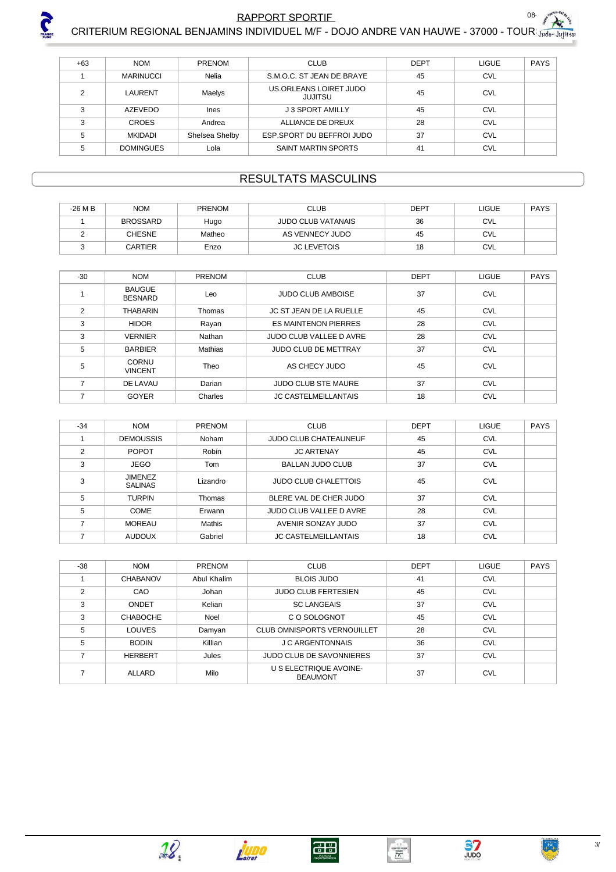

#### 08. 200 1 **RAPPORT SPORTIF** olie CRITERIUM REGIONAL BENJAMINS INDIVIDUEL M/F - DOJO ANDRE VAN HAUWE - 37000 - TOUR: Jude-Jujitsu

| $+63$ | <b>NOM</b>       | <b>PRENOM</b>  | <b>CLUB</b>                              | <b>DEPT</b> | <b>LIGUE</b> | <b>PAYS</b> |
|-------|------------------|----------------|------------------------------------------|-------------|--------------|-------------|
|       | MARINUCCI        | Nelia          | S.M.O.C. ST JEAN DE BRAYE                | 45          | <b>CVL</b>   |             |
| ◠     | LAURENT          | <b>Maelys</b>  | US.ORLEANS LOIRET JUDO<br><b>JUJITSU</b> | 45          | <b>CVL</b>   |             |
| 3     | AZEVEDO          | Ines           | J 3 SPORT AMILLY                         | 45          | <b>CVL</b>   |             |
| 3     | <b>CROES</b>     | Andrea         | ALLIANCE DE DREUX                        | 28          | <b>CVL</b>   |             |
| 5     | <b>MKIDADI</b>   | Shelsea Shelby | ESP.SPORT DU BEFFROI JUDO                | 37          | <b>CVL</b>   |             |
|       | <b>DOMINGUES</b> | Lola           | SAINT MARTIN SPORTS                      | 41          | <b>CVL</b>   |             |

## **RESULTATS MASCULINS**

| $-26$ M B | <b>NOM</b>      | <b>PRENOM</b> | <b>CLUB</b>               | <b>DEPT</b> | LIGUE      | PAYS |
|-----------|-----------------|---------------|---------------------------|-------------|------------|------|
|           | <b>BROSSARD</b> | Hugo          | <b>JUDO CLUB VATANAIS</b> | 36          | <b>CVL</b> |      |
|           | <b>CHESNE</b>   | Matheo        | AS VENNECY JUDO           | 45          | <b>CVL</b> |      |
|           | <b>CARTIER</b>  | Enzo          | <b>JC LEVETOIS</b>        | 18          | CVL        |      |

| $-30$         | <b>NOM</b>                      | PRENOM  | <b>CLUB</b>                    | <b>DEPT</b> | <b>LIGUE</b> | <b>PAYS</b> |
|---------------|---------------------------------|---------|--------------------------------|-------------|--------------|-------------|
|               | <b>BAUGUE</b><br><b>BESNARD</b> | Leo     | <b>JUDO CLUB AMBOISE</b>       | 37          | <b>CVL</b>   |             |
| $\mathcal{P}$ | <b>THABARIN</b>                 | Thomas  | <b>JC ST JEAN DE LA RUELLE</b> | 45          | <b>CVL</b>   |             |
| 3             | <b>HIDOR</b>                    | Rayan   | <b>ES MAINTENON PIERRES</b>    | 28          | <b>CVL</b>   |             |
| 3             | <b>VERNIER</b>                  | Nathan  | JUDO CLUB VALLEE D AVRE        | 28          | <b>CVL</b>   |             |
| 5             | <b>BARBIER</b>                  | Mathias | <b>JUDO CLUB DE METTRAY</b>    | 37          | <b>CVL</b>   |             |
| 5             | <b>CORNU</b><br><b>VINCENT</b>  | Theo    | AS CHECY JUDO                  | 45          | <b>CVL</b>   |             |
|               | DE LAVAU                        | Darian  | <b>JUDO CLUB STE MAURE</b>     | 37          | <b>CVL</b>   |             |
|               | <b>GOYER</b>                    | Charles | <b>JC CASTELMEILLANTAIS</b>    | 18          | <b>CVL</b>   |             |

| $-34$ | <b>NOM</b>                       | PRENOM        | <b>CLUB</b>                  | <b>DEPT</b> | <b>LIGUE</b> | <b>PAYS</b> |
|-------|----------------------------------|---------------|------------------------------|-------------|--------------|-------------|
|       | <b>DEMOUSSIS</b>                 | Noham         | <b>JUDO CLUB CHATEAUNEUF</b> | 45          | <b>CVL</b>   |             |
| C     | <b>POPOT</b>                     | Robin         | <b>JC ARTENAY</b>            | 45          | <b>CVL</b>   |             |
| 3     | <b>JEGO</b>                      | Tom           | <b>BALLAN JUDO CLUB</b>      | 37          | <b>CVL</b>   |             |
| 3     | <b>JIMENEZ</b><br><b>SALINAS</b> | Lizandro      | <b>JUDO CLUB CHALETTOIS</b>  | 45          | <b>CVL</b>   |             |
| 5     | <b>TURPIN</b>                    | Thomas        | BLERE VAL DE CHER JUDO       | 37          | <b>CVL</b>   |             |
| 5     | COME                             | Erwann        | JUDO CLUB VALLEE D AVRE      | 28          | <b>CVL</b>   |             |
|       | <b>MOREAU</b>                    | <b>Mathis</b> | AVENIR SONZAY JUDO           | 37          | <b>CVL</b>   |             |
|       | <b>AUDOUX</b>                    | Gabriel       | <b>JC CASTELMEILLANTAIS</b>  | 18          | <b>CVL</b>   |             |

| $-38$ | <b>NOM</b>      | PRENOM      | <b>CLUB</b>                               | <b>DEPT</b> | LIGUE      | <b>PAYS</b> |
|-------|-----------------|-------------|-------------------------------------------|-------------|------------|-------------|
|       | <b>CHABANOV</b> | Abul Khalim | <b>BLOIS JUDO</b>                         | 41          | <b>CVL</b> |             |
| 2     | CAO             | Johan       | <b>JUDO CLUB FERTESIEN</b>                | 45          | <b>CVL</b> |             |
| 3     | ONDET           | Kelian      | <b>SC LANGEAIS</b>                        | 37          | <b>CVL</b> |             |
| 3     | <b>CHABOCHE</b> | Noel        | C O SOLOGNOT                              | 45          | <b>CVL</b> |             |
| 5     | <b>LOUVES</b>   | Damyan      | <b>CLUB OMNISPORTS VERNOUILLET</b>        | 28          | <b>CVL</b> |             |
| 5     | <b>BODIN</b>    | Killian     | <b>J C ARGENTONNAIS</b>                   | 36          | <b>CVL</b> |             |
|       | <b>HERBERT</b>  | Jules       | <b>JUDO CLUB DE SAVONNIERES</b>           | 37          | <b>CVL</b> |             |
|       | <b>ALLARD</b>   | Milo        | U S ELECTRIQUE AVOINE-<br><b>BEAUMONT</b> | 37          | <b>CVL</b> |             |





 $\begin{tabular}{|c|c|} \hline & \multicolumn{1}{|c|}{\textbf{H} & \multicolumn{1}{|c|}{\textbf{H} & \multicolumn{1}{|c|}{\textbf{H} & \multicolumn{1}{|c|}{\textbf{H} & \multicolumn{1}{|c|}{\textbf{H} & \multicolumn{1}{|c|}{\textbf{H} & \multicolumn{1}{|c|}{\textbf{H} & \multicolumn{1}{|c|}{\textbf{H} & \multicolumn{1}{|c|}{\textbf{H} & \multicolumn{1}{|c|}{\textbf{H} & \multicolumn{1}{|c|}{\textbf{H} & \multicolumn{1$ 

 $\frac{37}{52}$ 

 $3/$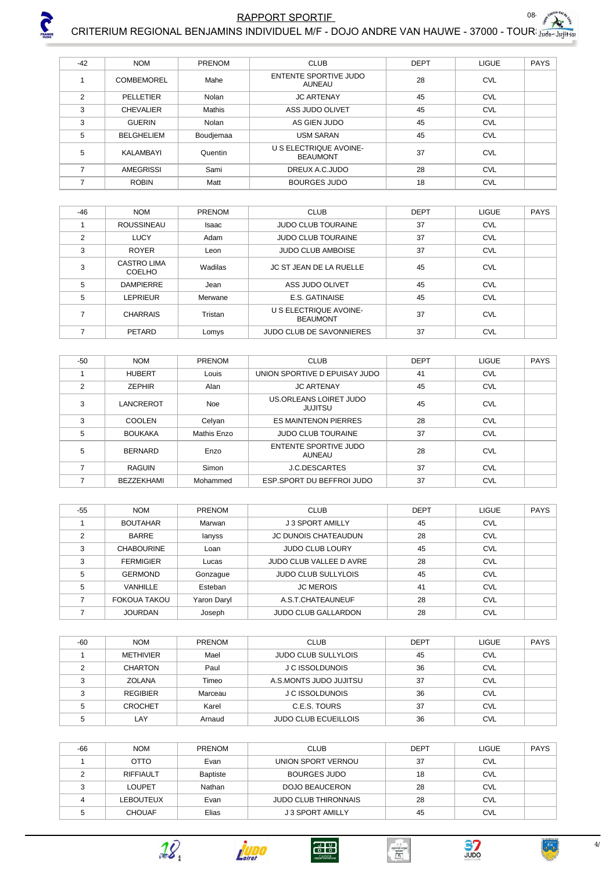

#### 08 500 V **RAPPORT SPORTIF** olie CRITERIUM REGIONAL BENJAMINS INDIVIDUEL M/F - DOJO ANDRE VAN HAUWE - 37000 - TOUR: Judo-Jujitsu

| $-42$          | <b>NOM</b>        | PRENOM    | <b>CLUB</b>                               | <b>DEPT</b> | <b>LIGUE</b> | <b>PAYS</b> |
|----------------|-------------------|-----------|-------------------------------------------|-------------|--------------|-------------|
|                | <b>COMBEMOREL</b> | Mahe      | ENTENTE SPORTIVE JUDO<br>AUNEAU           | 28          | <b>CVL</b>   |             |
| $\overline{2}$ | PELLETIER         | Nolan     | <b>JC ARTENAY</b>                         | 45          | <b>CVL</b>   |             |
| 3              | <b>CHEVALIER</b>  | Mathis    | ASS JUDO OLIVET                           | 45          | <b>CVL</b>   |             |
| 3              | <b>GUERIN</b>     | Nolan     | AS GIEN JUDO                              | 45          | <b>CVL</b>   |             |
| 5              | <b>BELGHELIEM</b> | Boudjemaa | <b>USM SARAN</b>                          | 45          | <b>CVL</b>   |             |
| 5              | KALAMBAYI         | Quentin   | U S ELECTRIQUE AVOINE-<br><b>BEAUMONT</b> | 37          | <b>CVL</b>   |             |
|                | <b>AMEGRISSI</b>  | Sami      | DREUX A.C.JUDO                            | 28          | <b>CVL</b>   |             |
|                | <b>ROBIN</b>      | Matt      | <b>BOURGES JUDO</b>                       | 18          | <b>CVL</b>   |             |

| $-46$ | <b>NOM</b>                   | PRENOM  | <b>CLUB</b>                               | <b>DEPT</b> | LIGUE      | <b>PAYS</b> |
|-------|------------------------------|---------|-------------------------------------------|-------------|------------|-------------|
|       | <b>ROUSSINEAU</b>            | Isaac   | <b>JUDO CLUB TOURAINE</b>                 | 37          | <b>CVL</b> |             |
| 2     | <b>LUCY</b>                  | Adam    | <b>JUDO CLUB TOURAINE</b>                 | 37          | <b>CVL</b> |             |
| 3     | <b>ROYER</b>                 | Leon    | <b>JUDO CLUB AMBOISE</b>                  | 37          | <b>CVL</b> |             |
| 3     | <b>CASTRO LIMA</b><br>COELHO | Wadilas | JC ST JEAN DE LA RUELLE                   | 45          | <b>CVL</b> |             |
| 5     | <b>DAMPIERRE</b>             | Jean    | ASS JUDO OLIVET                           | 45          | <b>CVL</b> |             |
| 5     | <b>LEPRIEUR</b>              | Merwane | E.S. GATINAISE                            | 45          | <b>CVL</b> |             |
|       | <b>CHARRAIS</b>              | Tristan | U S ELECTRIQUE AVOINE-<br><b>BEAUMONT</b> | 37          | <b>CVL</b> |             |
|       | PETARD                       | Lomys   | <b>JUDO CLUB DE SAVONNIERES</b>           | 37          | <b>CVL</b> |             |

| $-50$         | <b>NOM</b>        | <b>PRENOM</b> | <b>CLUB</b>                       | <b>DEPT</b> | <b>LIGUE</b> | <b>PAYS</b> |
|---------------|-------------------|---------------|-----------------------------------|-------------|--------------|-------------|
|               | <b>HUBERT</b>     | Louis         | UNION SPORTIVE D EPUISAY JUDO     | 41          | <b>CVL</b>   |             |
| $\mathcal{P}$ | <b>ZEPHIR</b>     | Alan          | <b>JC ARTENAY</b>                 | 45          | <b>CVL</b>   |             |
| 3             | LANCREROT         | <b>Noe</b>    | US ORLEANS LOIRET JUDO<br>JUJITSU | 45          | <b>CVL</b>   |             |
| 3             | COOLEN            | Celvan        | <b>ES MAINTENON PIERRES</b>       | 28          | <b>CVL</b>   |             |
| 5             | <b>BOUKAKA</b>    | Mathis Enzo   | <b>JUDO CLUB TOURAINE</b>         | 37          | <b>CVL</b>   |             |
| 5             | <b>BERNARD</b>    | Enzo          | ENTENTE SPORTIVE JUDO<br>AUNEAU   | 28          | <b>CVL</b>   |             |
|               | RAGUIN            | Simon         | <b>J.C.DESCARTES</b>              | 37          | <b>CVL</b>   |             |
|               | <b>BEZZEKHAMI</b> | Mohammed      | ESP. SPORT DU BEFFROI JUDO        | 37          | <b>CVL</b>   |             |

| $-55$ | <b>NOM</b>          | <b>PRENOM</b> | <b>CLUB</b>                | <b>DEPT</b> | <b>LIGUE</b> | <b>PAYS</b> |
|-------|---------------------|---------------|----------------------------|-------------|--------------|-------------|
|       | <b>BOUTAHAR</b>     | Marwan        | J 3 SPORT AMILLY           | 45          | <b>CVL</b>   |             |
| っ     | <b>BARRE</b>        | lanyss        | JC DUNOIS CHATEAUDUN       | 28          | <b>CVL</b>   |             |
| 3     | <b>CHABOURINE</b>   | Loan          | <b>JUDO CLUB LOURY</b>     | 45          | <b>CVL</b>   |             |
| 3     | <b>FERMIGIER</b>    | Lucas         | JUDO CLUB VALLEE D AVRE    | 28          | <b>CVL</b>   |             |
| 5     | <b>GERMOND</b>      | Gonzague      | <b>JUDO CLUB SULLYLOIS</b> | 45          | <b>CVL</b>   |             |
| 5     | VANHILLE            | Esteban       | <b>JC MEROIS</b>           | 41          | <b>CVL</b>   |             |
|       | <b>FOKOUA TAKOU</b> | Yaron Daryl   | A.S.T.CHATEAUNEUF          | 28          | <b>CVL</b>   |             |
|       | <b>JOURDAN</b>      | Joseph        | <b>JUDO CLUB GALLARDON</b> | 28          | <b>CVL</b>   |             |

| $-60$  | <b>NOM</b>       | <b>PRENOM</b> | <b>CLUB</b>                 | <b>DEPT</b> | <b>LIGUE</b> | PAYS |
|--------|------------------|---------------|-----------------------------|-------------|--------------|------|
|        | <b>METHIVIER</b> | Mael          | <b>JUDO CLUB SULLYLOIS</b>  | 45          | <b>CVL</b>   |      |
|        | <b>CHARTON</b>   | Paul          | J C ISSOLDUNOIS             | 36          | <b>CVL</b>   |      |
| ◠      | ZOLANA           | Timeo         | A.S.MONTS JUDO JUJITSU      | 37          | <b>CVL</b>   |      |
| $\sim$ | <b>REGIBIER</b>  | Marceau       | J C ISSOLDUNOIS             | 36          | <b>CVL</b>   |      |
|        | <b>CROCHET</b>   | Karel         | C.E.S. TOURS                | 37          | <b>CVL</b>   |      |
|        | LAY              | Arnaud        | <b>JUDO CLUB ECUEILLOIS</b> | 36          | <b>CVL</b>   |      |

| $-66$ | <b>NOM</b>       | <b>PRENOM</b>   | <b>CLUB</b>                 | <b>DEPT</b> | <b>LIGUE</b> | <b>PAYS</b> |
|-------|------------------|-----------------|-----------------------------|-------------|--------------|-------------|
|       | <b>OTTO</b>      | Evan            | UNION SPORT VERNOU          | 37          | <b>CVL</b>   |             |
|       | <b>RIFFIAULT</b> | <b>Baptiste</b> | BOURGES JUDO                | 18          | <b>CVL</b>   |             |
| ◠     | <b>LOUPET</b>    | Nathan          | DOJO BEAUCERON              | 28          | <b>CVL</b>   |             |
|       | LEBOUTEUX        | Evan            | <b>JUDO CLUB THIRONNAIS</b> | 28          | <b>CVL</b>   |             |
|       | <b>CHOUAF</b>    | Elias           | J 3 SPORT AMILLY            | 45          | <b>CVL</b>   |             |









西

 $\frac{37}{52}$